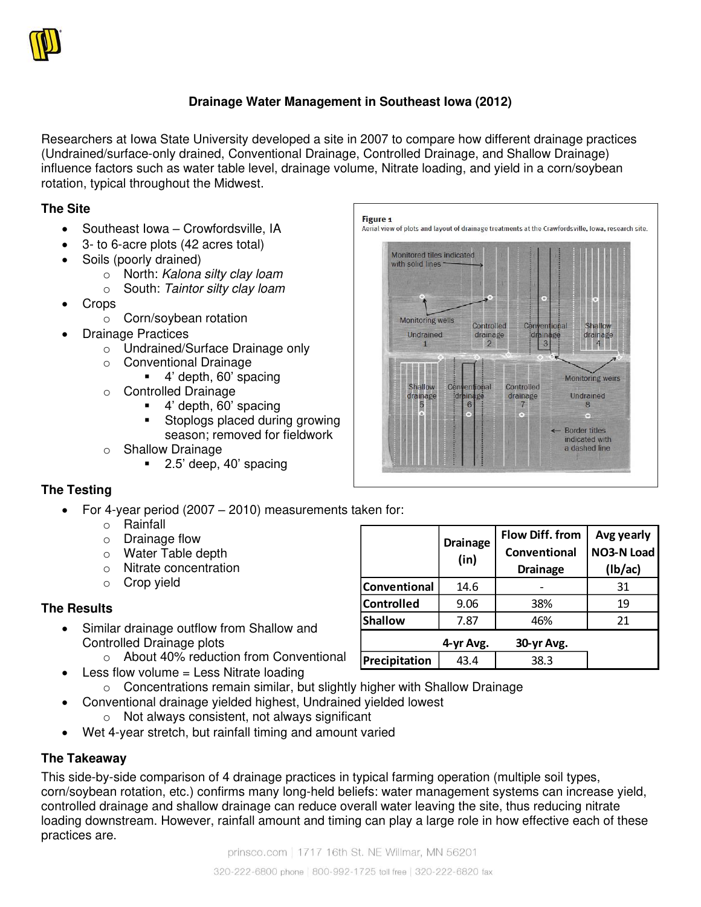

# **Drainage Water Management in Southeast Iowa (2012)**

Researchers at Iowa State University developed a site in 2007 to compare how different drainage practices (Undrained/surface-only drained, Conventional Drainage, Controlled Drainage, and Shallow Drainage) influence factors such as water table level, drainage volume, Nitrate loading, and yield in a corn/soybean rotation, typical throughout the Midwest.

#### **The Site**

- Southeast Iowa Crowfordsville, IA
- 3- to 6-acre plots (42 acres total)
- Soils (poorly drained)
	- o North: Kalona silty clay loam
	- $\circ$  South: Taintor silty clay loam
- Crops
	- o Corn/soybean rotation
	- Drainage Practices
		- o Undrained/Surface Drainage only
		- o Conventional Drainage
			- 4' depth, 60' spacing
		- o Controlled Drainage
			- 4' depth, 60' spacing
			- Stoplogs placed during growing season; removed for fieldwork
		- o Shallow Drainage
			- 2.5' deep, 40' spacing

### **The Testing**

- For 4-year period (2007 2010) measurements taken for:
	- o Rainfall
	- o Drainage flow
	- o Water Table depth
	- o Nitrate concentration
	- o Crop yield

### **The Results**

- Similar drainage outflow from Shallow and Controlled Drainage plots
	- o About 40% reduction from Conventional
	- Less flow volume = Less Nitrate loading
		- o Concentrations remain similar, but slightly higher with Shallow Drainage
- Conventional drainage yielded highest, Undrained yielded lowest o Not always consistent, not always significant
	- Wet 4-year stretch, but rainfall timing and amount varied

### **The Takeaway**

This side-by-side comparison of 4 drainage practices in typical farming operation (multiple soil types, corn/soybean rotation, etc.) confirms many long-held beliefs: water management systems can increase yield, controlled drainage and shallow drainage can reduce overall water leaving the site, thus reducing nitrate loading downstream. However, rainfall amount and timing can play a large role in how effective each of these practices are.



|                | <b>Drainage</b><br>(in) | <b>Flow Diff. from</b><br>Conventional<br><b>Drainage</b> | Avg yearly<br>NO3-N Load<br>(lb/ac) |
|----------------|-------------------------|-----------------------------------------------------------|-------------------------------------|
| Conventional   | 14.6                    |                                                           | 31                                  |
| Controlled     | 9.06                    | 38%                                                       | 19                                  |
| <b>Shallow</b> | 7.87                    | 46%                                                       | 21                                  |
|                | 4-yr Avg.               | 30-yr Avg.                                                |                                     |
| Precipitation  | 43.4                    | 38.3                                                      |                                     |